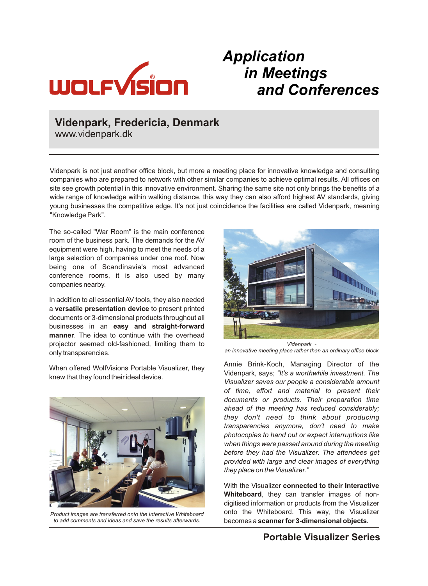

## *Application in Meetings and Conferences*

### **Videnpark, Fredericia, Denmark**

www.videnpark.dk

Videnpark is not just another office block, but more a meeting place for innovative knowledge and consulting companies who are prepared to network with other similar companies to achieve optimal results. All offices on site see growth potential in this innovative environment. Sharing the same site not only brings the benefits of a wide range of knowledge within walking distance, this way they can also afford highest AV standards, giving young businesses the competitive edge. It's not just coincidence the facilities are called Videnpark, meaning "Knowledge Park".

The so-called "War Room" is the main conference room of the business park. The demands for the AV equipment were high, having to meet the needs of a large selection of companies under one roof. Now being one of Scandinavia's most advanced conference rooms, it is also used by many companies nearby.

In addition to all essential AV tools, they also needed a **versatile presentation device** to present printed documents or 3-dimensional products throughout all businesses in an **easy and straight-forward manner**. The idea to continue with the overhead projector seemed old-fashioned, limiting them to only transparencies.

When offered WolfVisions Portable Visualizer, they knew that they found their ideal device.



*Product images are transferred onto the Interactive Whiteboard to add comments and ideas and save the results afterwards.*



*Videnpark -* 

*an innovative meeting place rather than an ordinary office block*

Annie Brink-Koch, Managing Director of the Videnpark, says; *"It's a worthwhile investment. The Visualizer saves our people a considerable amount of time, effort and material to present their documents or products. Their preparation time ahead of the meeting has reduced considerably; they don't need to think about producing transparencies anymore, don't need to make photocopies to hand out or expect interruptions like when things were passed around during the meeting before they had the Visualizer. The attendees get provided with large and clear images of everything they place on the Visualizer."*

With the Visualizer **connected to their Interactive Whiteboard**, they can transfer images of nondigitised information or products from the Visualizer onto the Whiteboard. This way, the Visualizer becomes a **scanner for 3-dimensional objects.** 

### **Portable Visualizer Series**